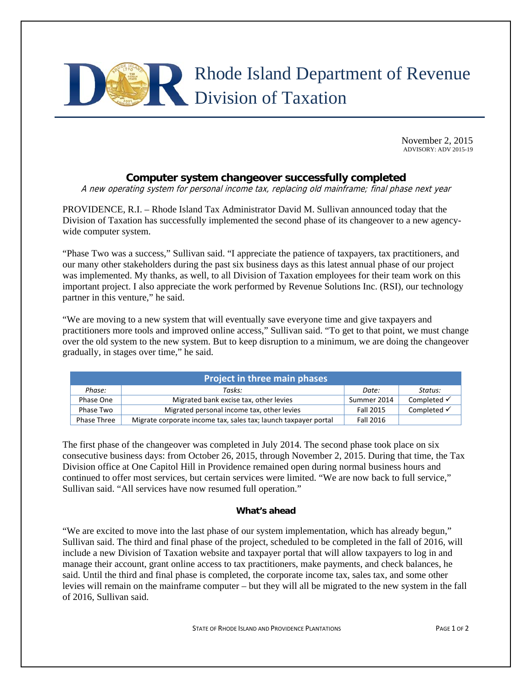

November 2, 2015 ADVISORY: ADV 2015-19

## **Computer system changeover successfully completed**

A new operating system for personal income tax, replacing old mainframe; final phase next year

PROVIDENCE, R.I. – Rhode Island Tax Administrator David M. Sullivan announced today that the Division of Taxation has successfully implemented the second phase of its changeover to a new agencywide computer system.

"Phase Two was a success," Sullivan said. "I appreciate the patience of taxpayers, tax practitioners, and our many other stakeholders during the past six business days as this latest annual phase of our project was implemented. My thanks, as well, to all Division of Taxation employees for their team work on this important project. I also appreciate the work performed by Revenue Solutions Inc. (RSI), our technology partner in this venture," he said.

"We are moving to a new system that will eventually save everyone time and give taxpayers and practitioners more tools and improved online access," Sullivan said. "To get to that point, we must change over the old system to the new system. But to keep disruption to a minimum, we are doing the changeover gradually, in stages over time," he said.

| <b>Project in three main phases</b> |                                                                 |             |                        |
|-------------------------------------|-----------------------------------------------------------------|-------------|------------------------|
| Phase:                              | Tasks:                                                          | Date:       | Status:                |
| Phase One                           | Migrated bank excise tax, other levies                          | Summer 2014 | Completed $\checkmark$ |
| Phase Two                           | Migrated personal income tax, other levies                      | Fall 2015   | Completed $\checkmark$ |
| Phase Three                         | Migrate corporate income tax, sales tax; launch taxpayer portal | Fall 2016   |                        |

The first phase of the changeover was completed in July 2014. The second phase took place on six consecutive business days: from October 26, 2015, through November 2, 2015. During that time, the Tax Division office at One Capitol Hill in Providence remained open during normal business hours and continued to offer most services, but certain services were limited. "We are now back to full service," Sullivan said. "All services have now resumed full operation."

## **What's ahead**

"We are excited to move into the last phase of our system implementation, which has already begun," Sullivan said. The third and final phase of the project, scheduled to be completed in the fall of 2016, will include a new Division of Taxation website and taxpayer portal that will allow taxpayers to log in and manage their account, grant online access to tax practitioners, make payments, and check balances, he said. Until the third and final phase is completed, the corporate income tax, sales tax, and some other levies will remain on the mainframe computer – but they will all be migrated to the new system in the fall of 2016, Sullivan said.